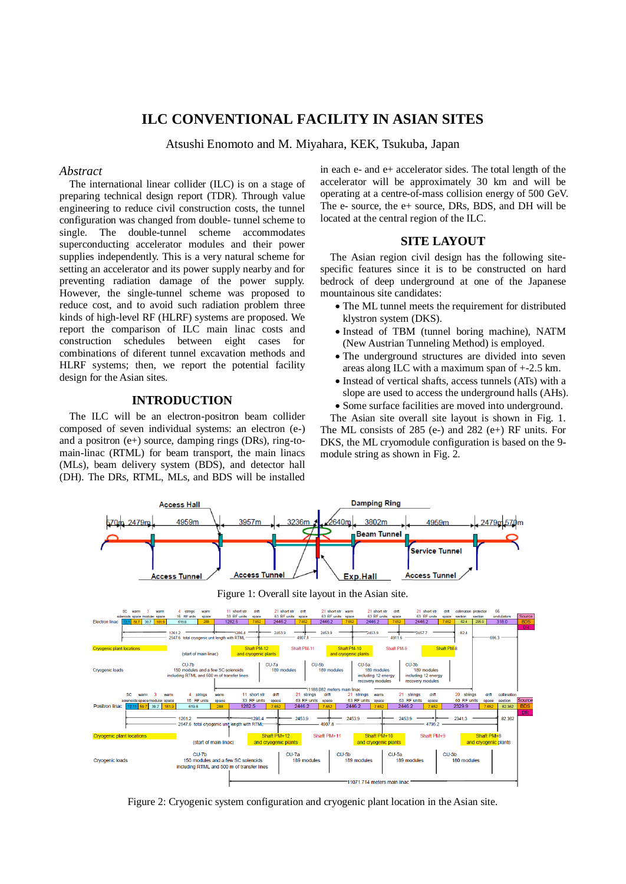# **ILC CONVENTIONAL FACILITY IN ASIAN SITES**

Atsushi Enomoto and M. Miyahara, KEK, Tsukuba, Japan

#### *Abstract*

The international linear collider (ILC) is on a stage of preparing technical design report (TDR). Through value engineering to reduce civil construction costs, the tunnel configuration was changed from double- tunnel scheme to single. The double-tunnel scheme accommodates superconducting accelerator modules and their power supplies independently. This is a very natural scheme for setting an accelerator and its power supply nearby and for preventing radiation damage of the power supply. However, the single-tunnel scheme was proposed to reduce cost, and to avoid such radiation problem three kinds of high-level RF (HLRF) systems are proposed. We report the comparison of ILC main linac costs and construction schedules between eight cases for combinations of diferent tunnel excavation methods and HLRF systems; then, we report the potential facility design for the Asian sites.

# **INTRODUCTION**

The ILC will be an electron-positron beam collider composed of seven individual systems: an electron (e-) and a positron (e+) source, damping rings (DRs), ring-tomain-linac (RTML) for beam transport, the main linacs (MLs), beam delivery system (BDS), and detector hall (DH). The DRs, RTML, MLs, and BDS will be installed in each e- and e+ accelerator sides. The total length of the accelerator will be approximately 30 km and will be operating at a centre-of-mass collision energy of 500 GeV. The e- source, the e+ source, DRs, BDS, and DH will be located at the central region of the ILC.

#### **SITE LAYOUT**

The Asian region civil design has the following sitespecific features since it is to be constructed on hard bedrock of deep underground at one of the Japanese mountainous site candidates:

- The ML tunnel meets the requirement for distributed klystron system (DKS).
- Instead of TBM (tunnel boring machine), NATM (New Austrian Tunneling Method) is employed.
- The underground structures are divided into seven areas along ILC with a maximum span of +-2.5 km.
- Instead of vertical shafts, access tunnels (ATs) with a slope are used to access the underground halls (AHs). Some surface facilities are moved into underground.
- The Asian site overall site layout is shown in Fig. 1.

The ML consists of 285 (e-) and 282 (e+) RF units. For DKS, the ML cryomodule configuration is based on the 9 module string as shown in Fig. 2.



Figure 2: Cryogenic system configuration and cryogenic plant location in the Asian site.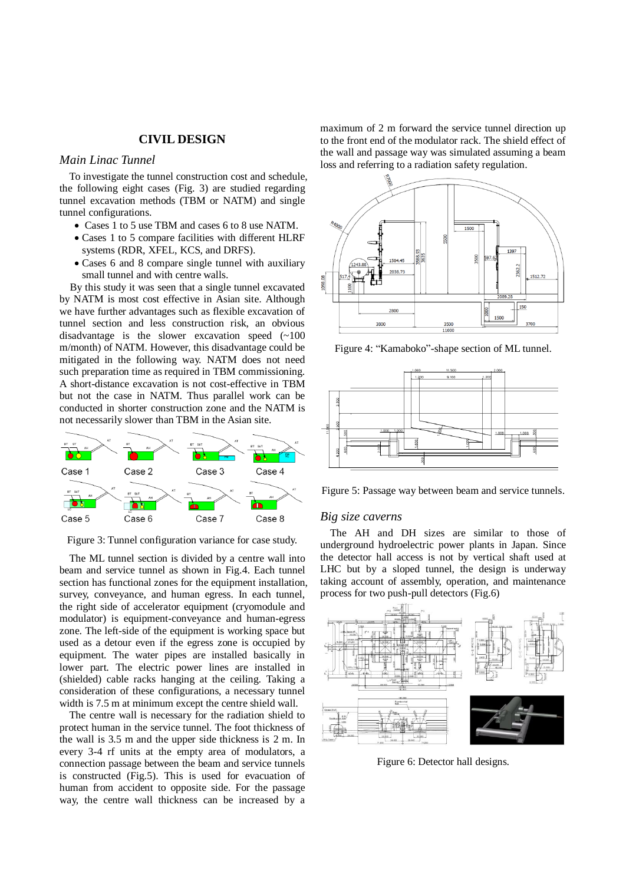# **CIVIL DESIGN**

# *Main Linac Tunnel*

To investigate the tunnel construction cost and schedule, the following eight cases (Fig. 3) are studied regarding tunnel excavation methods (TBM or NATM) and single tunnel configurations.

- Cases 1 to 5 use TBM and cases 6 to 8 use NATM.
- Cases 1 to 5 compare facilities with different HLRF systems (RDR, XFEL, KCS, and DRFS).
- Cases 6 and 8 compare single tunnel with auxiliary small tunnel and with centre walls.

By this study it was seen that a single tunnel excavated by NATM is most cost effective in Asian site. Although we have further advantages such as flexible excavation of tunnel section and less construction risk, an obvious disadvantage is the slower excavation speed (~100 m/month) of NATM. However, this disadvantage could be mitigated in the following way. NATM does not need such preparation time as required in TBM commissioning. A short-distance excavation is not cost-effective in TBM but not the case in NATM. Thus parallel work can be conducted in shorter construction zone and the NATM is not necessarily slower than TBM in the Asian site.



Figure 3: Tunnel configuration variance for case study.

The ML tunnel section is divided by a centre wall into beam and service tunnel as shown in Fig.4. Each tunnel section has functional zones for the equipment installation, survey, conveyance, and human egress. In each tunnel, the right side of accelerator equipment (cryomodule and modulator) is equipment-conveyance and human-egress zone. The left-side of the equipment is working space but used as a detour even if the egress zone is occupied by equipment. The water pipes are installed basically in lower part. The electric power lines are installed in (shielded) cable racks hanging at the ceiling. Taking a consideration of these configurations, a necessary tunnel width is 7.5 m at minimum except the centre shield wall.

The centre wall is necessary for the radiation shield to protect human in the service tunnel. The foot thickness of the wall is 3.5 m and the upper side thickness is 2 m. In every 3-4 rf units at the empty area of modulators, a connection passage between the beam and service tunnels is constructed (Fig.5). This is used for evacuation of human from accident to opposite side. For the passage way, the centre wall thickness can be increased by a maximum of 2 m forward the service tunnel direction up to the front end of the modulator rack. The shield effect of the wall and passage way was simulated assuming a beam loss and referring to a radiation safety regulation.



Figure 4: "Kamaboko"-shape section of ML tunnel.



Figure 5: Passage way between beam and service tunnels.

## *Big size caverns*

The AH and DH sizes are similar to those of underground hydroelectric power plants in Japan. Since the detector hall access is not by vertical shaft used at LHC but by a sloped tunnel, the design is underway taking account of assembly, operation, and maintenance process for two push-pull detectors (Fig.6)



Figure 6: Detector hall designs.